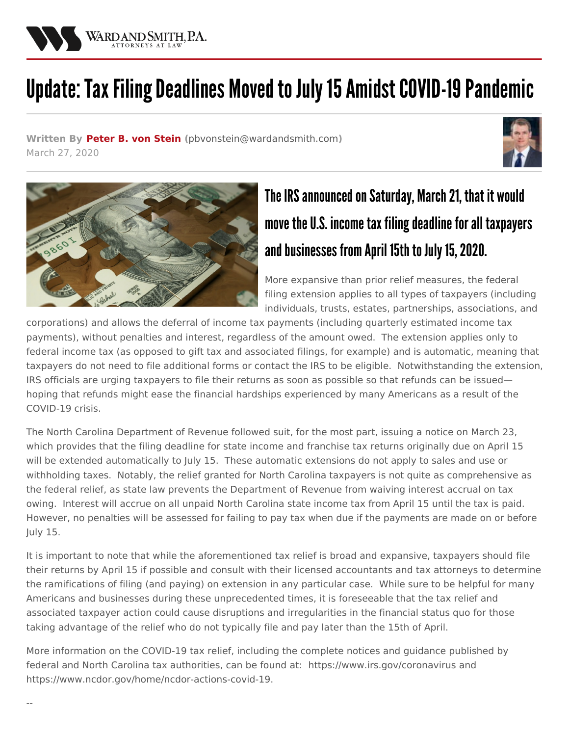

## Update: Tax Filing Deadlines Moved to July 15 Amidst COVID-19 Pandemic

**Written By [Peter](/attorneys/peter-von_stein) B. von Stein (**[pbvonstein@wardandsmith.com](mailto:pbvonstein@wardandsmith.com)**)** March 27, 2020





## The IRS announced on Saturday, March 21, that it would move the U.S. income tax filing deadline for all taxpayers and businesses from April 15th to July 15, 2020.

More expansive than prior relief measures, the federal filing extension applies to all types of taxpayers (including individuals, trusts, estates, partnerships, associations, and

corporations) and allows the deferral of income tax payments (including quarterly estimated income tax payments), without penalties and interest, regardless of the amount owed. The extension applies only to federal income tax (as opposed to gift tax and associated filings, for example) and is automatic, meaning that taxpayers do not need to file additional forms or contact the IRS to be eligible. Notwithstanding the extension, IRS officials are urging taxpayers to file their returns as soon as possible so that refunds can be issued hoping that refunds might ease the financial hardships experienced by many Americans as a result of the COVID-19 crisis.

The North Carolina Department of Revenue followed suit, for the most part, issuing a notice on March 23, which provides that the filing deadline for state income and franchise tax returns originally due on April 15 will be extended automatically to July 15. These automatic extensions do not apply to sales and use or withholding taxes. Notably, the relief granted for North Carolina taxpayers is not quite as comprehensive as the federal relief, as state law prevents the Department of Revenue from waiving interest accrual on tax owing. Interest will accrue on all unpaid North Carolina state income tax from April 15 until the tax is paid. However, no penalties will be assessed for failing to pay tax when due if the payments are made on or before July 15.

It is important to note that while the aforementioned tax relief is broad and expansive, taxpayers should file their returns by April 15 if possible and consult with their licensed accountants and tax attorneys to determine the ramifications of filing (and paying) on extension in any particular case. While sure to be helpful for many Americans and businesses during these unprecedented times, it is foreseeable that the tax relief and associated taxpayer action could cause disruptions and irregularities in the financial status quo for those taking advantage of the relief who do not typically file and pay later than the 15th of April.

More information on the COVID-19 tax relief, including the complete notices and guidance published by federal and North Carolina tax authorities, can be found at: <https://www.irs.gov/coronavirus> and <https://www.ncdor.gov/home/ncdor-actions-covid-19>.